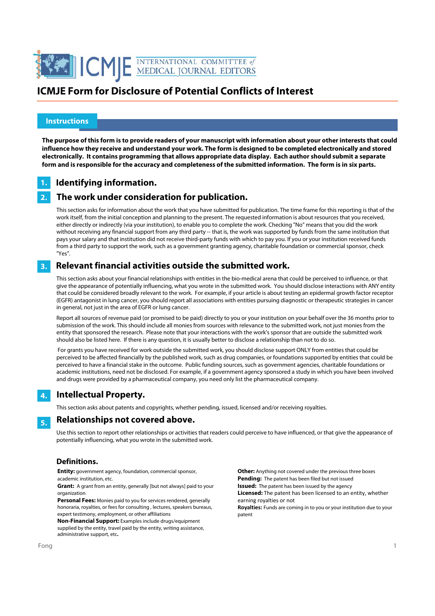

#### **Instructions**

**2.**

**The purpose of this form is to provide readers of your manuscript with information about your other interests that could influence how they receive and understand your work. The form is designed to be completed electronically and stored electronically. It contains programming that allows appropriate data display. Each author should submit a separate form and is responsible for the accuracy and completeness of the submitted information. The form is in six parts.** 

#### **Identifying information. 1.**

## **The work under consideration for publication.**

This section asks for information about the work that you have submitted for publication. The time frame for this reporting is that of the work itself, from the initial conception and planning to the present. The requested information is about resources that you received, either directly or indirectly (via your institution), to enable you to complete the work. Checking "No" means that you did the work without receiving any financial support from any third party -- that is, the work was supported by funds from the same institution that pays your salary and that institution did not receive third-party funds with which to pay you. If you or your institution received funds from a third party to support the work, such as a government granting agency, charitable foundation or commercial sponsor, check "Yes".

#### **Relevant financial activities outside the submitted work. 3.**

This section asks about your financial relationships with entities in the bio-medical arena that could be perceived to influence, or that give the appearance of potentially influencing, what you wrote in the submitted work. You should disclose interactions with ANY entity that could be considered broadly relevant to the work. For example, if your article is about testing an epidermal growth factor receptor (EGFR) antagonist in lung cancer, you should report all associations with entities pursuing diagnostic or therapeutic strategies in cancer in general, not just in the area of EGFR or lung cancer.

Report all sources of revenue paid (or promised to be paid) directly to you or your institution on your behalf over the 36 months prior to submission of the work. This should include all monies from sources with relevance to the submitted work, not just monies from the entity that sponsored the research. Please note that your interactions with the work's sponsor that are outside the submitted work should also be listed here. If there is any question, it is usually better to disclose a relationship than not to do so.

 For grants you have received for work outside the submitted work, you should disclose support ONLY from entities that could be perceived to be affected financially by the published work, such as drug companies, or foundations supported by entities that could be perceived to have a financial stake in the outcome. Public funding sources, such as government agencies, charitable foundations or academic institutions, need not be disclosed. For example, if a government agency sponsored a study in which you have been involved and drugs were provided by a pharmaceutical company, you need only list the pharmaceutical company.

### **Intellectual Property.**

This section asks about patents and copyrights, whether pending, issued, licensed and/or receiving royalties.

#### **Relationships not covered above.**

Use this section to report other relationships or activities that readers could perceive to have influenced, or that give the appearance of potentially influencing, what you wrote in the submitted work.

### **Definitions.**

**Entity:** government agency, foundation, commercial sponsor, academic institution, etc.

**Grant:** A grant from an entity, generally [but not always] paid to your organization

**Personal Fees:** Monies paid to you for services rendered, generally honoraria, royalties, or fees for consulting , lectures, speakers bureaus, expert testimony, employment, or other affiliations

**Non-Financial Support:** Examples include drugs/equipment supplied by the entity, travel paid by the entity, writing assistance, administrative support, etc**.**

**Other:** Anything not covered under the previous three boxes **Pending:** The patent has been filed but not issued **Issued:** The patent has been issued by the agency **Licensed:** The patent has been licensed to an entity, whether earning royalties or not **Royalties:** Funds are coming in to you or your institution due to your patent

**4.**

**5.**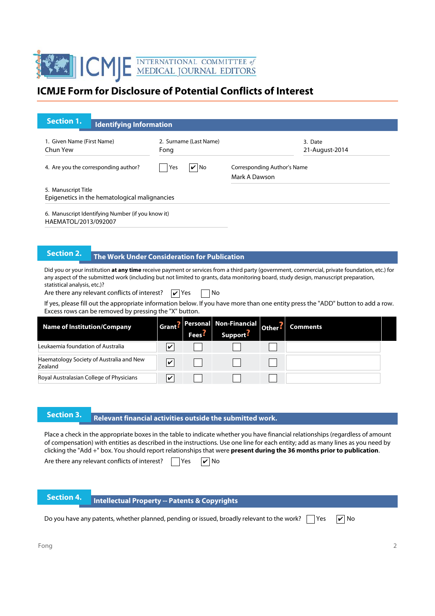

| <b>Section 1.</b>                      | <b>Identifying Information</b>                    |                                |                                              |
|----------------------------------------|---------------------------------------------------|--------------------------------|----------------------------------------------|
| 1. Given Name (First Name)<br>Chun Yew |                                                   | 2. Surname (Last Name)<br>Fong | 3. Date<br>21-August-2014                    |
| 4. Are you the corresponding author?   |                                                   | $\mathbf{v}$ No<br>Yes         | Corresponding Author's Name<br>Mark A Dawson |
| 5. Manuscript Title                    | Epigenetics in the hematological malignancies     |                                |                                              |
| HAEMATOL/2013/092007                   | 6. Manuscript Identifying Number (if you know it) |                                |                                              |

## **The Work Under Consideration for Publication**

Did you or your institution **at any time** receive payment or services from a third party (government, commercial, private foundation, etc.) for any aspect of the submitted work (including but not limited to grants, data monitoring board, study design, manuscript preparation, statistical analysis, etc.)?

Are there any relevant conflicts of interest?  $\boxed{\mathbf{v}}$  Yes  $\boxed{\phantom{0}}$  No

If yes, please fill out the appropriate information below. If you have more than one entity press the "ADD" button to add a row. Excess rows can be removed by pressing the "X" button.

| <b>Name of Institution/Company</b>                  | Fees <sup>:</sup> | Grant? Personal Non-Financial Other?<br>Support <sup>:</sup> | <b>Comments</b> |  |
|-----------------------------------------------------|-------------------|--------------------------------------------------------------|-----------------|--|
| Leukaemia foundation of Australia                   |                   |                                                              |                 |  |
| Haematology Society of Australia and New<br>Zealand |                   |                                                              |                 |  |
| Royal Australasian College of Physicians            |                   |                                                              |                 |  |

## **Relevant financial activities outside the submitted work. Section 3. Propendition 3. Propendity**

Place a check in the appropriate boxes in the table to indicate whether you have financial relationships (regardless of amount of compensation) with entities as described in the instructions. Use one line for each entity; add as many lines as you need by clicking the "Add +" box. You should report relationships that were **present during the 36 months prior to publication**.

Are there any relevant conflicts of interest?  $\Box$  Yes  $\Box$  No

## **Intellectual Property -- Patents & Copyrights Section 4.**

Do you have any patents, whether planned, pending or issued, broadly relevant to the work?  $\Box$  Yes  $\Box$  No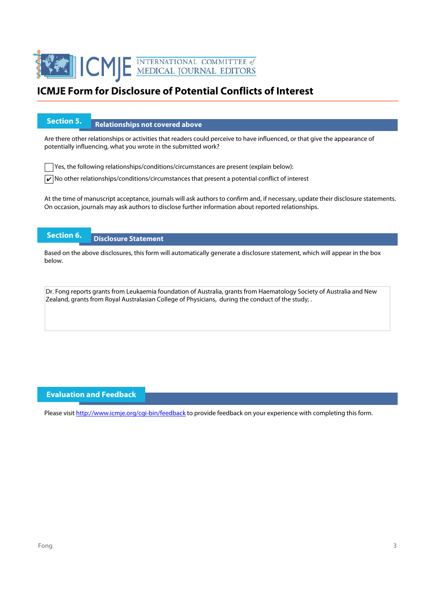

## **Section 5.** Relationships not covered above

Are there other relationships or activities that readers could perceive to have influenced, or that give the appearance of potentially influencing, what you wrote in the submitted work?

 $\Box$  Yes, the following relationships/conditions/circumstances are present (explain below):

 $\boxed{\mathbf{v}}$  No other relationships/conditions/circumstances that present a potential conflict of interest

At the time of manuscript acceptance, journals will ask authors to confirm and, if necessary, update their disclosure statements. On occasion, journals may ask authors to disclose further information about reported relationships.

## **Disclosure Statement Section 6.**

Based on the above disclosures, this form will automatically generate a disclosure statement, which will appear in the box below.

Dr. Fong reports grants from Leukaemia foundation of Australia, grants from Haematology Society of Australia and New Zealand, grants from Royal Australasian College of Physicians, during the conduct of the study; .

#### **Evaluation and Feedback**

Please visit http://www.icmje.org/cgi-bin/feedback to provide feedback on your experience with completing this form.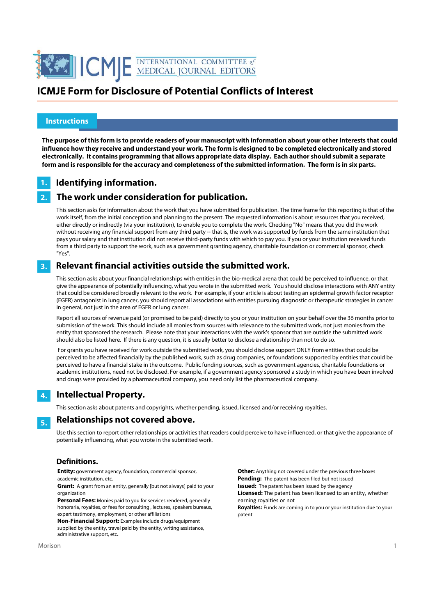

#### **Instructions**

**2.**

**The purpose of this form is to provide readers of your manuscript with information about your other interests that could influence how they receive and understand your work. The form is designed to be completed electronically and stored electronically. It contains programming that allows appropriate data display. Each author should submit a separate form and is responsible for the accuracy and completeness of the submitted information. The form is in six parts.** 

#### **Identifying information. 1.**

## **The work under consideration for publication.**

This section asks for information about the work that you have submitted for publication. The time frame for this reporting is that of the work itself, from the initial conception and planning to the present. The requested information is about resources that you received, either directly or indirectly (via your institution), to enable you to complete the work. Checking "No" means that you did the work without receiving any financial support from any third party -- that is, the work was supported by funds from the same institution that pays your salary and that institution did not receive third-party funds with which to pay you. If you or your institution received funds from a third party to support the work, such as a government granting agency, charitable foundation or commercial sponsor, check "Yes".

#### **Relevant financial activities outside the submitted work. 3.**

This section asks about your financial relationships with entities in the bio-medical arena that could be perceived to influence, or that give the appearance of potentially influencing, what you wrote in the submitted work. You should disclose interactions with ANY entity that could be considered broadly relevant to the work. For example, if your article is about testing an epidermal growth factor receptor (EGFR) antagonist in lung cancer, you should report all associations with entities pursuing diagnostic or therapeutic strategies in cancer in general, not just in the area of EGFR or lung cancer.

Report all sources of revenue paid (or promised to be paid) directly to you or your institution on your behalf over the 36 months prior to submission of the work. This should include all monies from sources with relevance to the submitted work, not just monies from the entity that sponsored the research. Please note that your interactions with the work's sponsor that are outside the submitted work should also be listed here. If there is any question, it is usually better to disclose a relationship than not to do so.

 For grants you have received for work outside the submitted work, you should disclose support ONLY from entities that could be perceived to be affected financially by the published work, such as drug companies, or foundations supported by entities that could be perceived to have a financial stake in the outcome. Public funding sources, such as government agencies, charitable foundations or academic institutions, need not be disclosed. For example, if a government agency sponsored a study in which you have been involved and drugs were provided by a pharmaceutical company, you need only list the pharmaceutical company.

### **Intellectual Property.**

This section asks about patents and copyrights, whether pending, issued, licensed and/or receiving royalties.

#### **Relationships not covered above.**

Use this section to report other relationships or activities that readers could perceive to have influenced, or that give the appearance of potentially influencing, what you wrote in the submitted work.

#### **Definitions.**

**Entity:** government agency, foundation, commercial sponsor, academic institution, etc.

**Grant:** A grant from an entity, generally [but not always] paid to your organization

**Personal Fees:** Monies paid to you for services rendered, generally honoraria, royalties, or fees for consulting , lectures, speakers bureaus, expert testimony, employment, or other affiliations

**Non-Financial Support:** Examples include drugs/equipment supplied by the entity, travel paid by the entity, writing assistance, administrative support, etc**.**

**Other:** Anything not covered under the previous three boxes **Pending:** The patent has been filed but not issued **Issued:** The patent has been issued by the agency **Licensed:** The patent has been licensed to an entity, whether earning royalties or not **Royalties:** Funds are coming in to you or your institution due to your patent

Morison 1

**4.**

**5.**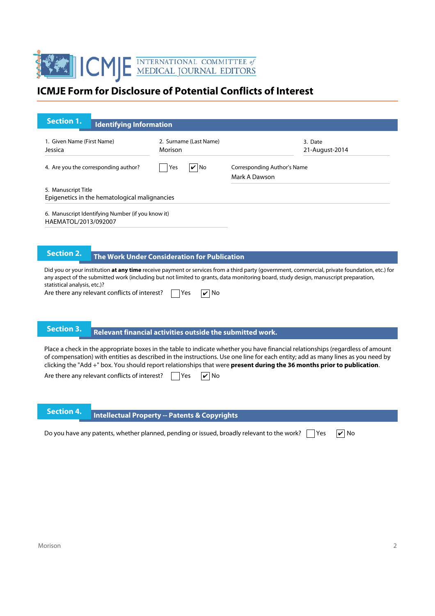

| <b>Section 1.</b>                     |                                                           |                              |                            |                                                                                            |                                                                                                                                                                                                                                                                                                                                                                                             |  |
|---------------------------------------|-----------------------------------------------------------|------------------------------|----------------------------|--------------------------------------------------------------------------------------------|---------------------------------------------------------------------------------------------------------------------------------------------------------------------------------------------------------------------------------------------------------------------------------------------------------------------------------------------------------------------------------------------|--|
|                                       | <b>Identifying Information</b>                            |                              |                            |                                                                                            |                                                                                                                                                                                                                                                                                                                                                                                             |  |
| 1. Given Name (First Name)<br>Jessica |                                                           | Morison                      | 2. Surname (Last Name)     |                                                                                            | 3. Date<br>21-August-2014                                                                                                                                                                                                                                                                                                                                                                   |  |
| 4. Are you the corresponding author?  |                                                           | $ \boldsymbol{v} $ No<br>Yes |                            | Corresponding Author's Name<br>Mark A Dawson                                               |                                                                                                                                                                                                                                                                                                                                                                                             |  |
| 5. Manuscript Title                   | Epigenetics in the hematological malignancies             |                              |                            |                                                                                            |                                                                                                                                                                                                                                                                                                                                                                                             |  |
| HAEMATOL/2013/092007                  | 6. Manuscript Identifying Number (if you know it)         |                              |                            |                                                                                            |                                                                                                                                                                                                                                                                                                                                                                                             |  |
| <b>Section 2.</b>                     |                                                           |                              |                            |                                                                                            |                                                                                                                                                                                                                                                                                                                                                                                             |  |
|                                       | The Work Under Consideration for Publication              |                              |                            |                                                                                            |                                                                                                                                                                                                                                                                                                                                                                                             |  |
| statistical analysis, etc.)?          | Are there any relevant conflicts of interest?             | Yes                          | $\boldsymbol{\nu}$<br>  No |                                                                                            | Did you or your institution at any time receive payment or services from a third party (government, commercial, private foundation, etc.) for<br>any aspect of the submitted work (including but not limited to grants, data monitoring board, study design, manuscript preparation,                                                                                                        |  |
|                                       |                                                           |                              |                            |                                                                                            |                                                                                                                                                                                                                                                                                                                                                                                             |  |
| <b>Section 3.</b>                     | Relevant financial activities outside the submitted work. |                              |                            |                                                                                            |                                                                                                                                                                                                                                                                                                                                                                                             |  |
|                                       | Are there any relevant conflicts of interest?             | Yes                          | $\boldsymbol{\nu}$<br>No   |                                                                                            | Place a check in the appropriate boxes in the table to indicate whether you have financial relationships (regardless of amount<br>of compensation) with entities as described in the instructions. Use one line for each entity; add as many lines as you need by<br>clicking the "Add +" box. You should report relationships that were present during the 36 months prior to publication. |  |
|                                       |                                                           |                              |                            |                                                                                            |                                                                                                                                                                                                                                                                                                                                                                                             |  |
| <b>Section 4.</b>                     | <b>Intellectual Property -- Patents &amp; Copyrights</b>  |                              |                            |                                                                                            |                                                                                                                                                                                                                                                                                                                                                                                             |  |
|                                       |                                                           |                              |                            | Do you have any patents, whether planned, pending or issued, broadly relevant to the work? | $\nu$ No<br>Yes                                                                                                                                                                                                                                                                                                                                                                             |  |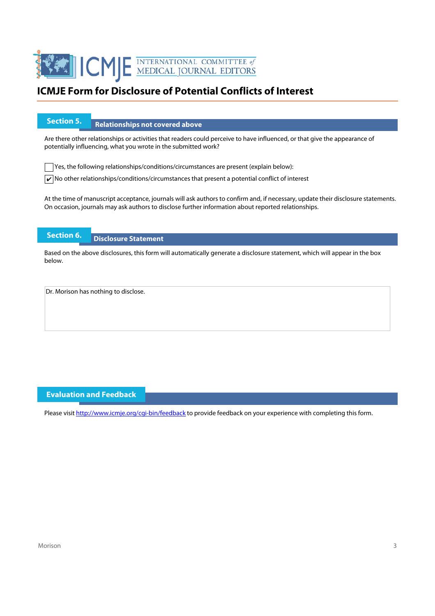

## **Section 5.** Relationships not covered above

Are there other relationships or activities that readers could perceive to have influenced, or that give the appearance of potentially influencing, what you wrote in the submitted work?

 $\Box$  Yes, the following relationships/conditions/circumstances are present (explain below):

 $\boxed{\mathbf{v}}$  No other relationships/conditions/circumstances that present a potential conflict of interest

At the time of manuscript acceptance, journals will ask authors to confirm and, if necessary, update their disclosure statements. On occasion, journals may ask authors to disclose further information about reported relationships.

## **Disclosure Statement Section 6.**

Based on the above disclosures, this form will automatically generate a disclosure statement, which will appear in the box below.

Dr. Morison has nothing to disclose.

### **Evaluation and Feedback**

Please visit http://www.icmje.org/cgi-bin/feedback to provide feedback on your experience with completing this form.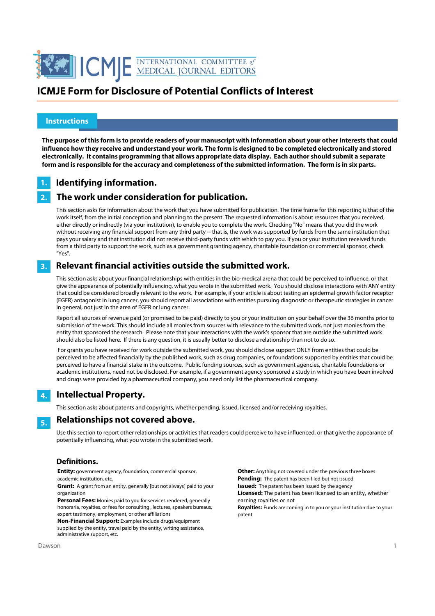

#### **Instructions**

**2.**

**The purpose of this form is to provide readers of your manuscript with information about your other interests that could influence how they receive and understand your work. The form is designed to be completed electronically and stored electronically. It contains programming that allows appropriate data display. Each author should submit a separate form and is responsible for the accuracy and completeness of the submitted information. The form is in six parts.** 

#### **Identifying information. 1.**

## **The work under consideration for publication.**

This section asks for information about the work that you have submitted for publication. The time frame for this reporting is that of the work itself, from the initial conception and planning to the present. The requested information is about resources that you received, either directly or indirectly (via your institution), to enable you to complete the work. Checking "No" means that you did the work without receiving any financial support from any third party -- that is, the work was supported by funds from the same institution that pays your salary and that institution did not receive third-party funds with which to pay you. If you or your institution received funds from a third party to support the work, such as a government granting agency, charitable foundation or commercial sponsor, check "Yes".

#### **Relevant financial activities outside the submitted work. 3.**

This section asks about your financial relationships with entities in the bio-medical arena that could be perceived to influence, or that give the appearance of potentially influencing, what you wrote in the submitted work. You should disclose interactions with ANY entity that could be considered broadly relevant to the work. For example, if your article is about testing an epidermal growth factor receptor (EGFR) antagonist in lung cancer, you should report all associations with entities pursuing diagnostic or therapeutic strategies in cancer in general, not just in the area of EGFR or lung cancer.

Report all sources of revenue paid (or promised to be paid) directly to you or your institution on your behalf over the 36 months prior to submission of the work. This should include all monies from sources with relevance to the submitted work, not just monies from the entity that sponsored the research. Please note that your interactions with the work's sponsor that are outside the submitted work should also be listed here. If there is any question, it is usually better to disclose a relationship than not to do so.

 For grants you have received for work outside the submitted work, you should disclose support ONLY from entities that could be perceived to be affected financially by the published work, such as drug companies, or foundations supported by entities that could be perceived to have a financial stake in the outcome. Public funding sources, such as government agencies, charitable foundations or academic institutions, need not be disclosed. For example, if a government agency sponsored a study in which you have been involved and drugs were provided by a pharmaceutical company, you need only list the pharmaceutical company.

### **Intellectual Property.**

This section asks about patents and copyrights, whether pending, issued, licensed and/or receiving royalties.

#### **Relationships not covered above.**

Use this section to report other relationships or activities that readers could perceive to have influenced, or that give the appearance of potentially influencing, what you wrote in the submitted work.

#### **Definitions.**

**Entity:** government agency, foundation, commercial sponsor, academic institution, etc.

**Grant:** A grant from an entity, generally [but not always] paid to your organization

**Personal Fees:** Monies paid to you for services rendered, generally honoraria, royalties, or fees for consulting , lectures, speakers bureaus, expert testimony, employment, or other affiliations

**Non-Financial Support:** Examples include drugs/equipment supplied by the entity, travel paid by the entity, writing assistance, administrative support, etc**.**

**Other:** Anything not covered under the previous three boxes **Pending:** The patent has been filed but not issued **Issued:** The patent has been issued by the agency **Licensed:** The patent has been licensed to an entity, whether earning royalties or not **Royalties:** Funds are coming in to you or your institution due to your patent

Dawson 1

**4.**

**5.**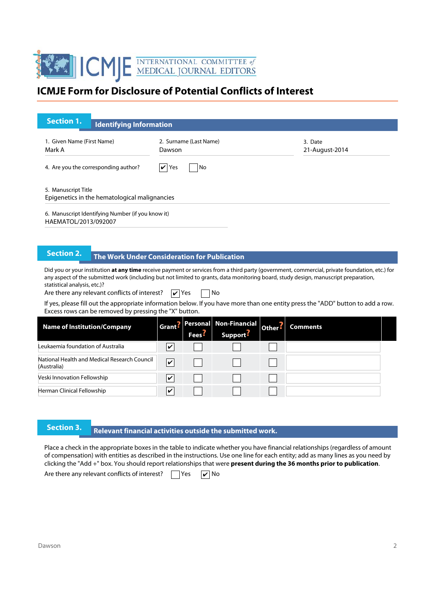

| <b>Section 1.</b>                    | <b>Identifying Information</b>                    |                                  |                           |
|--------------------------------------|---------------------------------------------------|----------------------------------|---------------------------|
| 1. Given Name (First Name)<br>Mark A |                                                   | 2. Surname (Last Name)<br>Dawson | 3. Date<br>21-August-2014 |
| 4. Are you the corresponding author? |                                                   | $ v $ Yes<br>i No                |                           |
| 5. Manuscript Title                  | Epigenetics in the hematological malignancies     |                                  |                           |
| HAEMATOL/2013/092007                 | 6. Manuscript Identifying Number (if you know it) |                                  |                           |

## **The Work Under Consideration for Publication**

Did you or your institution **at any time** receive payment or services from a third party (government, commercial, private foundation, etc.) for any aspect of the submitted work (including but not limited to grants, data monitoring board, study design, manuscript preparation, statistical analysis, etc.)?

Are there any relevant conflicts of interest?  $\boxed{\mathbf{v}}$  Yes  $\boxed{\phantom{0}}$  No

If yes, please fill out the appropriate information below. If you have more than one entity press the "ADD" button to add a row. Excess rows can be removed by pressing the "X" button.

| <b>Name of Institution/Company</b>                          |                            | Fees: | Grant? Personal Non-Financial<br>Support <sup>:</sup> | $ $ Other $\leq$ | <b>Comments</b> |  |
|-------------------------------------------------------------|----------------------------|-------|-------------------------------------------------------|------------------|-----------------|--|
| Leukaemia foundation of Australia                           | $\boldsymbol{\mathcal{U}}$ |       |                                                       |                  |                 |  |
| National Health and Medical Research Council<br>(Australia) | V                          |       |                                                       |                  |                 |  |
| Veski Innovation Fellowship                                 | ✓                          |       |                                                       |                  |                 |  |
| Herman Clinical Fellowship                                  | ✓                          |       |                                                       |                  |                 |  |

## **Relevant financial activities outside the submitted work. Section 3. Propendig activities**

Place a check in the appropriate boxes in the table to indicate whether you have financial relationships (regardless of amount of compensation) with entities as described in the instructions. Use one line for each entity; add as many lines as you need by clicking the "Add +" box. You should report relationships that were **present during the 36 months prior to publication**.

Are there any relevant conflicts of interest?  $\Box$  Yes  $\Box$  No